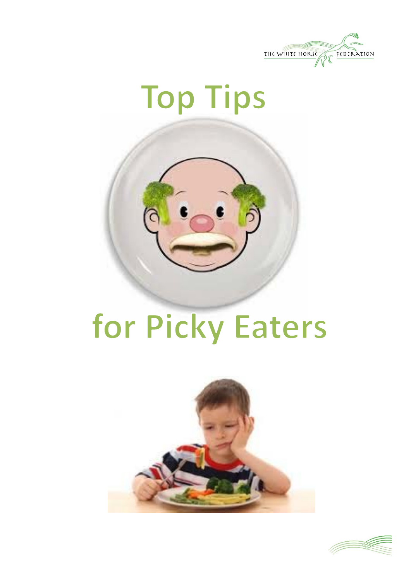

## **Top Tips**



## for Picky Eaters